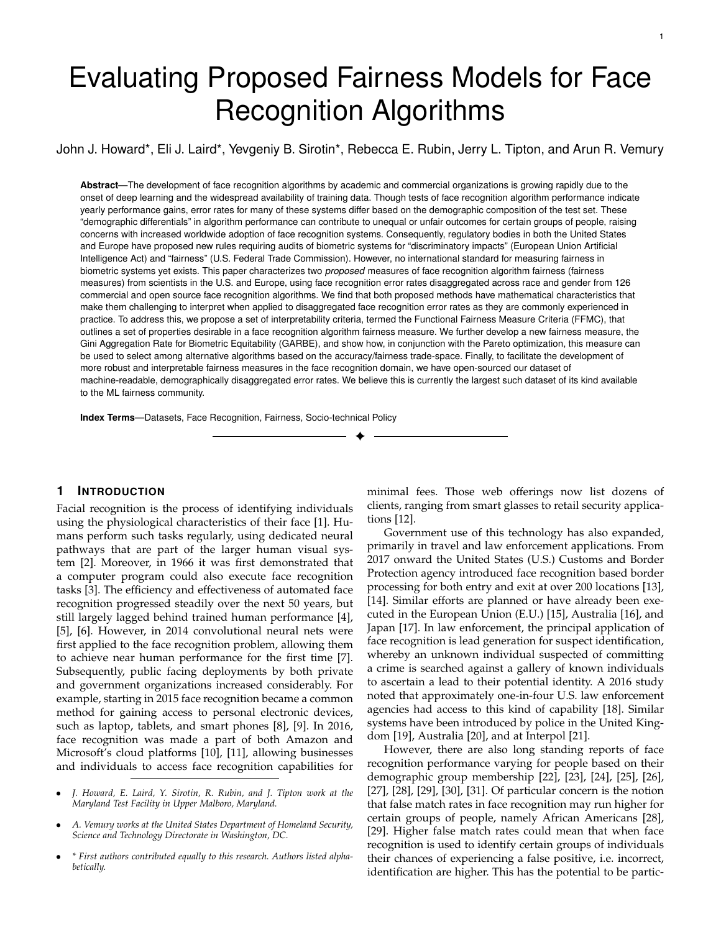# Evaluating Proposed Fairness Models for Face Recognition Algorithms

John J. Howard\*, Eli J. Laird\*, Yevgeniy B. Sirotin\*, Rebecca E. Rubin, Jerry L. Tipton, and Arun R. Vemury

**Abstract**—The development of face recognition algorithms by academic and commercial organizations is growing rapidly due to the onset of deep learning and the widespread availability of training data. Though tests of face recognition algorithm performance indicate yearly performance gains, error rates for many of these systems differ based on the demographic composition of the test set. These "demographic differentials" in algorithm performance can contribute to unequal or unfair outcomes for certain groups of people, raising concerns with increased worldwide adoption of face recognition systems. Consequently, regulatory bodies in both the United States and Europe have proposed new rules requiring audits of biometric systems for "discriminatory impacts" (European Union Artificial Intelligence Act) and "fairness" (U.S. Federal Trade Commission). However, no international standard for measuring fairness in biometric systems yet exists. This paper characterizes two *proposed* measures of face recognition algorithm fairness (fairness measures) from scientists in the U.S. and Europe, using face recognition error rates disaggregated across race and gender from 126 commercial and open source face recognition algorithms. We find that both proposed methods have mathematical characteristics that make them challenging to interpret when applied to disaggregated face recognition error rates as they are commonly experienced in practice. To address this, we propose a set of interpretability criteria, termed the Functional Fairness Measure Criteria (FFMC), that outlines a set of properties desirable in a face recognition algorithm fairness measure. We further develop a new fairness measure, the Gini Aggregation Rate for Biometric Equitability (GARBE), and show how, in conjunction with the Pareto optimization, this measure can be used to select among alternative algorithms based on the accuracy/fairness trade-space. Finally, to facilitate the development of more robust and interpretable fairness measures in the face recognition domain, we have open-sourced our dataset of machine-readable, demographically disaggregated error rates. We believe this is currently the largest such dataset of its kind available to the ML fairness community.

✦

**Index Terms**—Datasets, Face Recognition, Fairness, Socio-technical Policy

# **1 INTRODUCTION**

Facial recognition is the process of identifying individuals using the physiological characteristics of their face [1]. Humans perform such tasks regularly, using dedicated neural pathways that are part of the larger human visual system [2]. Moreover, in 1966 it was first demonstrated that a computer program could also execute face recognition tasks [3]. The efficiency and effectiveness of automated face recognition progressed steadily over the next 50 years, but still largely lagged behind trained human performance [4], [5], [6]. However, in 2014 convolutional neural nets were first applied to the face recognition problem, allowing them to achieve near human performance for the first time [7]. Subsequently, public facing deployments by both private and government organizations increased considerably. For example, starting in 2015 face recognition became a common method for gaining access to personal electronic devices, such as laptop, tablets, and smart phones [8], [9]. In 2016, face recognition was made a part of both Amazon and Microsoft's cloud platforms [10], [11], allowing businesses and individuals to access face recognition capabilities for minimal fees. Those web offerings now list dozens of clients, ranging from smart glasses to retail security applications [12].

Government use of this technology has also expanded, primarily in travel and law enforcement applications. From 2017 onward the United States (U.S.) Customs and Border Protection agency introduced face recognition based border processing for both entry and exit at over 200 locations [13], [14]. Similar efforts are planned or have already been executed in the European Union (E.U.) [15], Australia [16], and Japan [17]. In law enforcement, the principal application of face recognition is lead generation for suspect identification, whereby an unknown individual suspected of committing a crime is searched against a gallery of known individuals to ascertain a lead to their potential identity. A 2016 study noted that approximately one-in-four U.S. law enforcement agencies had access to this kind of capability [18]. Similar systems have been introduced by police in the United Kingdom [19], Australia [20], and at Interpol [21].

However, there are also long standing reports of face recognition performance varying for people based on their demographic group membership [22], [23], [24], [25], [26], [27], [28], [29], [30], [31]. Of particular concern is the notion that false match rates in face recognition may run higher for certain groups of people, namely African Americans [28], [29]. Higher false match rates could mean that when face recognition is used to identify certain groups of individuals their chances of experiencing a false positive, i.e. incorrect, identification are higher. This has the potential to be partic-

<sup>•</sup> *J. Howard, E. Laird, Y. Sirotin, R. Rubin, and J. Tipton work at the Maryland Test Facility in Upper Malboro, Maryland.*

<sup>•</sup> *A. Vemury works at the United States Department of Homeland Security, Science and Technology Directorate in Washington, DC.*

<sup>•</sup> *\* First authors contributed equally to this research. Authors listed alphabetically.*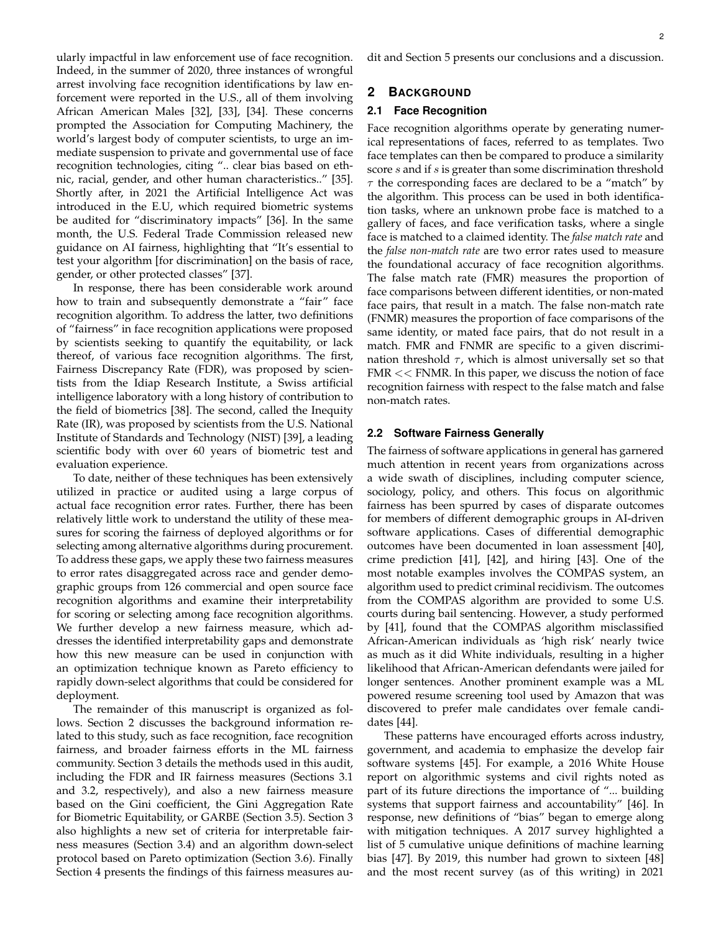ularly impactful in law enforcement use of face recognition. Indeed, in the summer of 2020, three instances of wrongful arrest involving face recognition identifications by law enforcement were reported in the U.S., all of them involving African American Males [32], [33], [34]. These concerns prompted the Association for Computing Machinery, the world's largest body of computer scientists, to urge an immediate suspension to private and governmental use of face recognition technologies, citing ".. clear bias based on ethnic, racial, gender, and other human characteristics.." [35]. Shortly after, in 2021 the Artificial Intelligence Act was introduced in the E.U, which required biometric systems be audited for "discriminatory impacts" [36]. In the same month, the U.S. Federal Trade Commission released new guidance on AI fairness, highlighting that "It's essential to test your algorithm [for discrimination] on the basis of race, gender, or other protected classes" [37].

In response, there has been considerable work around how to train and subsequently demonstrate a "fair" face recognition algorithm. To address the latter, two definitions of "fairness" in face recognition applications were proposed by scientists seeking to quantify the equitability, or lack thereof, of various face recognition algorithms. The first, Fairness Discrepancy Rate (FDR), was proposed by scientists from the Idiap Research Institute, a Swiss artificial intelligence laboratory with a long history of contribution to the field of biometrics [38]. The second, called the Inequity Rate (IR), was proposed by scientists from the U.S. National Institute of Standards and Technology (NIST) [39], a leading scientific body with over 60 years of biometric test and evaluation experience.

To date, neither of these techniques has been extensively utilized in practice or audited using a large corpus of actual face recognition error rates. Further, there has been relatively little work to understand the utility of these measures for scoring the fairness of deployed algorithms or for selecting among alternative algorithms during procurement. To address these gaps, we apply these two fairness measures to error rates disaggregated across race and gender demographic groups from 126 commercial and open source face recognition algorithms and examine their interpretability for scoring or selecting among face recognition algorithms. We further develop a new fairness measure, which addresses the identified interpretability gaps and demonstrate how this new measure can be used in conjunction with an optimization technique known as Pareto efficiency to rapidly down-select algorithms that could be considered for deployment.

The remainder of this manuscript is organized as follows. Section 2 discusses the background information related to this study, such as face recognition, face recognition fairness, and broader fairness efforts in the ML fairness community. Section 3 details the methods used in this audit, including the FDR and IR fairness measures (Sections 3.1 and 3.2, respectively), and also a new fairness measure based on the Gini coefficient, the Gini Aggregation Rate for Biometric Equitability, or GARBE (Section 3.5). Section 3 also highlights a new set of criteria for interpretable fairness measures (Section 3.4) and an algorithm down-select protocol based on Pareto optimization (Section 3.6). Finally Section 4 presents the findings of this fairness measures audit and Section 5 presents our conclusions and a discussion.

## **2 BACKGROUND**

#### **2.1 Face Recognition**

Face recognition algorithms operate by generating numerical representations of faces, referred to as templates. Two face templates can then be compared to produce a similarity score s and if s is greater than some discrimination threshold  $\tau$  the corresponding faces are declared to be a "match" by the algorithm. This process can be used in both identification tasks, where an unknown probe face is matched to a gallery of faces, and face verification tasks, where a single face is matched to a claimed identity. The *false match rate* and the *false non-match rate* are two error rates used to measure the foundational accuracy of face recognition algorithms. The false match rate (FMR) measures the proportion of face comparisons between different identities, or non-mated face pairs, that result in a match. The false non-match rate (FNMR) measures the proportion of face comparisons of the same identity, or mated face pairs, that do not result in a match. FMR and FNMR are specific to a given discrimination threshold  $\tau$ , which is almost universally set so that  $FMR \ll FNMR$ . In this paper, we discuss the notion of face recognition fairness with respect to the false match and false non-match rates.

#### **2.2 Software Fairness Generally**

The fairness of software applications in general has garnered much attention in recent years from organizations across a wide swath of disciplines, including computer science, sociology, policy, and others. This focus on algorithmic fairness has been spurred by cases of disparate outcomes for members of different demographic groups in AI-driven software applications. Cases of differential demographic outcomes have been documented in loan assessment [40], crime prediction [41], [42], and hiring [43]. One of the most notable examples involves the COMPAS system, an algorithm used to predict criminal recidivism. The outcomes from the COMPAS algorithm are provided to some U.S. courts during bail sentencing. However, a study performed by [41], found that the COMPAS algorithm misclassified African-American individuals as 'high risk' nearly twice as much as it did White individuals, resulting in a higher likelihood that African-American defendants were jailed for longer sentences. Another prominent example was a ML powered resume screening tool used by Amazon that was discovered to prefer male candidates over female candidates [44].

These patterns have encouraged efforts across industry, government, and academia to emphasize the develop fair software systems [45]. For example, a 2016 White House report on algorithmic systems and civil rights noted as part of its future directions the importance of "... building systems that support fairness and accountability" [46]. In response, new definitions of "bias" began to emerge along with mitigation techniques. A 2017 survey highlighted a list of 5 cumulative unique definitions of machine learning bias [47]. By 2019, this number had grown to sixteen [48] and the most recent survey (as of this writing) in 2021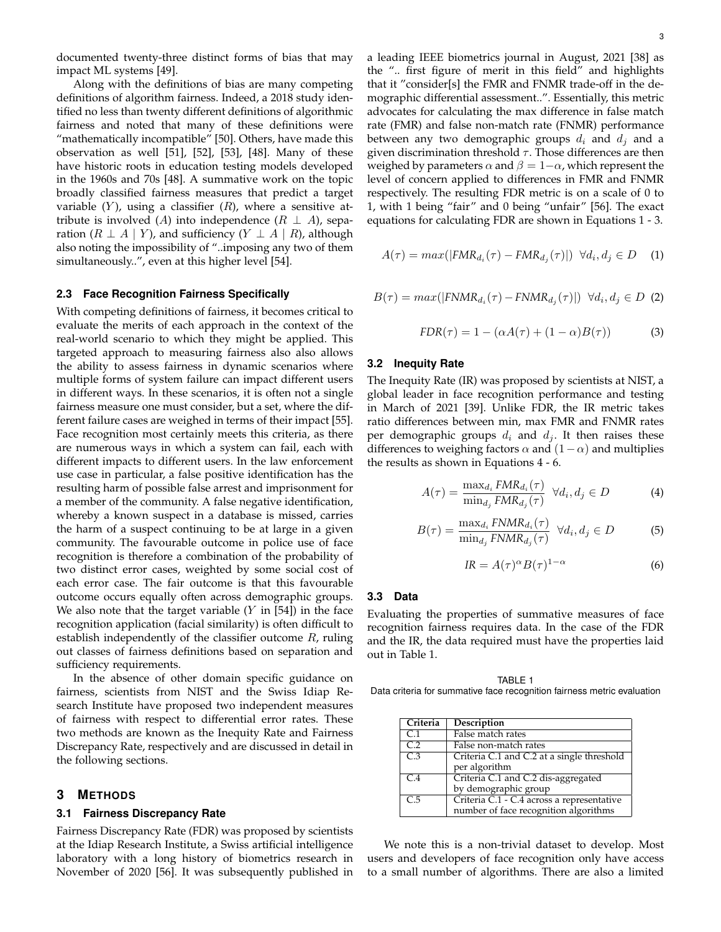documented twenty-three distinct forms of bias that may impact ML systems [49].

Along with the definitions of bias are many competing definitions of algorithm fairness. Indeed, a 2018 study identified no less than twenty different definitions of algorithmic fairness and noted that many of these definitions were "mathematically incompatible" [50]. Others, have made this observation as well [51], [52], [53], [48]. Many of these have historic roots in education testing models developed in the 1960s and 70s [48]. A summative work on the topic broadly classified fairness measures that predict a target variable  $(Y)$ , using a classifier  $(R)$ , where a sensitive attribute is involved (A) into independence  $(R \perp A)$ , separation  $(R \perp A \mid Y)$ , and sufficiency  $(Y \perp A \mid R)$ , although also noting the impossibility of "..imposing any two of them simultaneously..", even at this higher level [54].

# **2.3 Face Recognition Fairness Specifically**

With competing definitions of fairness, it becomes critical to evaluate the merits of each approach in the context of the real-world scenario to which they might be applied. This targeted approach to measuring fairness also also allows the ability to assess fairness in dynamic scenarios where multiple forms of system failure can impact different users in different ways. In these scenarios, it is often not a single fairness measure one must consider, but a set, where the different failure cases are weighed in terms of their impact [55]. Face recognition most certainly meets this criteria, as there are numerous ways in which a system can fail, each with different impacts to different users. In the law enforcement use case in particular, a false positive identification has the resulting harm of possible false arrest and imprisonment for a member of the community. A false negative identification, whereby a known suspect in a database is missed, carries the harm of a suspect continuing to be at large in a given community. The favourable outcome in police use of face recognition is therefore a combination of the probability of two distinct error cases, weighted by some social cost of each error case. The fair outcome is that this favourable outcome occurs equally often across demographic groups. We also note that the target variable  $(Y$  in [54]) in the face recognition application (facial similarity) is often difficult to establish independently of the classifier outcome  $R$ , ruling out classes of fairness definitions based on separation and sufficiency requirements.

In the absence of other domain specific guidance on fairness, scientists from NIST and the Swiss Idiap Research Institute have proposed two independent measures of fairness with respect to differential error rates. These two methods are known as the Inequity Rate and Fairness Discrepancy Rate, respectively and are discussed in detail in the following sections.

# **3 METHODS**

#### **3.1 Fairness Discrepancy Rate**

Fairness Discrepancy Rate (FDR) was proposed by scientists at the Idiap Research Institute, a Swiss artificial intelligence laboratory with a long history of biometrics research in November of 2020 [56]. It was subsequently published in a leading IEEE biometrics journal in August, 2021 [38] as the ".. first figure of merit in this field" and highlights that it "consider[s] the FMR and FNMR trade-off in the demographic differential assessment..". Essentially, this metric advocates for calculating the max difference in false match rate (FMR) and false non-match rate (FNMR) performance between any two demographic groups  $d_i$  and  $d_j$  and a given discrimination threshold  $\tau$ . Those differences are then weighed by parameters  $\alpha$  and  $\beta = 1-\alpha$ , which represent the level of concern applied to differences in FMR and FNMR respectively. The resulting FDR metric is on a scale of 0 to 1, with 1 being "fair" and 0 being "unfair" [56]. The exact equations for calculating FDR are shown in Equations 1 - 3.

$$
A(\tau) = max(|FMR_{d_i}(\tau) - FMR_{d_j}(\tau)|) \ \forall d_i, d_j \in D \quad (1)
$$

$$
B(\tau) = max(|\text{FNMR}_{d_i}(\tau) - \text{FNMR}_{d_j}(\tau)|) \ \forall d_i, d_j \in D \tag{2}
$$

$$
FDR(\tau) = 1 - (\alpha A(\tau) + (1 - \alpha)B(\tau))
$$
 (3)

## **3.2 Inequity Rate**

The Inequity Rate (IR) was proposed by scientists at NIST, a global leader in face recognition performance and testing in March of 2021 [39]. Unlike FDR, the IR metric takes ratio differences between min, max FMR and FNMR rates per demographic groups  $d_i$  and  $d_j$ . It then raises these differences to weighing factors  $\alpha$  and  $(1-\alpha)$  and multiplies the results as shown in Equations 4 - 6.

$$
A(\tau) = \frac{\max_{d_i} FMR_{d_i}(\tau)}{\min_{d_j} FMR_{d_j}(\tau)} \ \ \forall d_i, d_j \in D \tag{4}
$$

$$
B(\tau) = \frac{\max_{d_i} FNMR_{d_i}(\tau)}{\min_{d_j} FNMR_{d_j}(\tau)} \quad \forall d_i, d_j \in D \tag{5}
$$

$$
IR = A(\tau)^{\alpha}B(\tau)^{1-\alpha} \tag{6}
$$

#### **3.3 Data**

Evaluating the properties of summative measures of face recognition fairness requires data. In the case of the FDR and the IR, the data required must have the properties laid out in Table 1.

TABLE 1 Data criteria for summative face recognition fairness metric evaluation

| Criteria       | Description                                |
|----------------|--------------------------------------------|
| C.1            | False match rates                          |
| C.2            | False non-match rates                      |
| C <sub>3</sub> | Criteria C.1 and C.2 at a single threshold |
|                | per algorithm                              |
| C <sub>4</sub> | Criteria C.1 and C.2 dis-aggregated        |
|                | by demographic group                       |
| C.5            | Criteria C.1 - C.4 across a representative |
|                | number of face recognition algorithms      |

We note this is a non-trivial dataset to develop. Most users and developers of face recognition only have access to a small number of algorithms. There are also a limited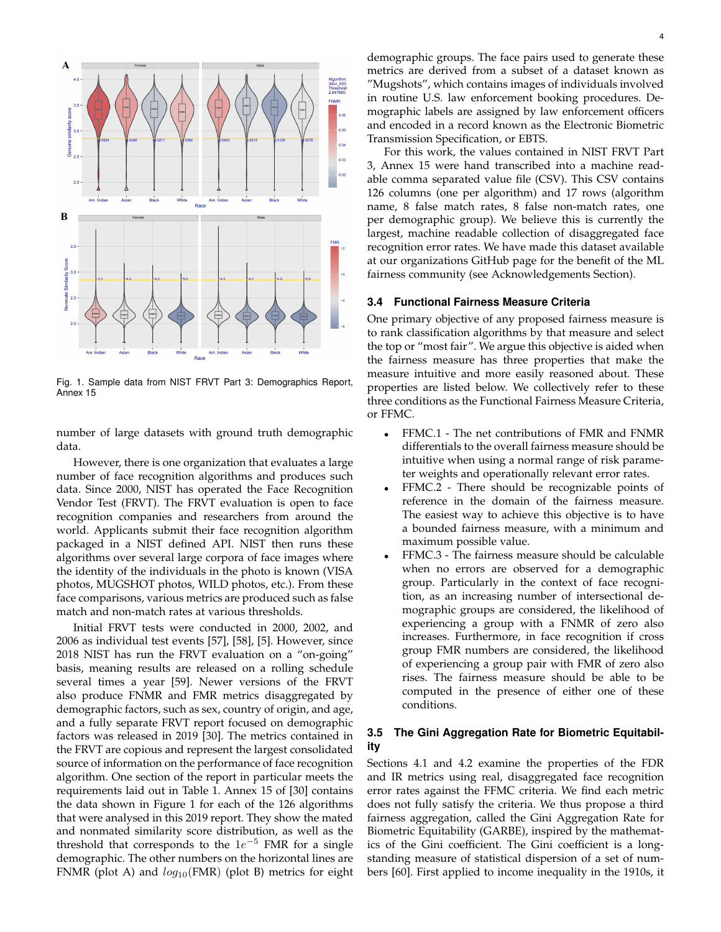

Fig. 1. Sample data from NIST FRVT Part 3: Demographics Report, Annex 15

number of large datasets with ground truth demographic data.

However, there is one organization that evaluates a large number of face recognition algorithms and produces such data. Since 2000, NIST has operated the Face Recognition Vendor Test (FRVT). The FRVT evaluation is open to face recognition companies and researchers from around the world. Applicants submit their face recognition algorithm packaged in a NIST defined API. NIST then runs these algorithms over several large corpora of face images where the identity of the individuals in the photo is known (VISA photos, MUGSHOT photos, WILD photos, etc.). From these face comparisons, various metrics are produced such as false match and non-match rates at various thresholds.

Initial FRVT tests were conducted in 2000, 2002, and 2006 as individual test events [57], [58], [5]. However, since 2018 NIST has run the FRVT evaluation on a "on-going" basis, meaning results are released on a rolling schedule several times a year [59]. Newer versions of the FRVT also produce FNMR and FMR metrics disaggregated by demographic factors, such as sex, country of origin, and age, and a fully separate FRVT report focused on demographic factors was released in 2019 [30]. The metrics contained in the FRVT are copious and represent the largest consolidated source of information on the performance of face recognition algorithm. One section of the report in particular meets the requirements laid out in Table 1. Annex 15 of [30] contains the data shown in Figure 1 for each of the 126 algorithms that were analysed in this 2019 report. They show the mated and nonmated similarity score distribution, as well as the threshold that corresponds to the  $1e^{-5}$  FMR for a single demographic. The other numbers on the horizontal lines are FNMR (plot A) and  $log_{10}(FMR)$  (plot B) metrics for eight

For this work, the values contained in NIST FRVT Part 3, Annex 15 were hand transcribed into a machine readable comma separated value file (CSV). This CSV contains 126 columns (one per algorithm) and 17 rows (algorithm name, 8 false match rates, 8 false non-match rates, one per demographic group). We believe this is currently the largest, machine readable collection of disaggregated face recognition error rates. We have made this dataset available at our organizations GitHub page for the benefit of the ML fairness community (see Acknowledgements Section).

### **3.4 Functional Fairness Measure Criteria**

One primary objective of any proposed fairness measure is to rank classification algorithms by that measure and select the top or "most fair". We argue this objective is aided when the fairness measure has three properties that make the measure intuitive and more easily reasoned about. These properties are listed below. We collectively refer to these three conditions as the Functional Fairness Measure Criteria, or FFMC.

- FFMC.1 The net contributions of FMR and FNMR differentials to the overall fairness measure should be intuitive when using a normal range of risk parameter weights and operationally relevant error rates.
- FFMC.2 There should be recognizable points of reference in the domain of the fairness measure. The easiest way to achieve this objective is to have a bounded fairness measure, with a minimum and maximum possible value.
- FFMC.3 The fairness measure should be calculable when no errors are observed for a demographic group. Particularly in the context of face recognition, as an increasing number of intersectional demographic groups are considered, the likelihood of experiencing a group with a FNMR of zero also increases. Furthermore, in face recognition if cross group FMR numbers are considered, the likelihood of experiencing a group pair with FMR of zero also rises. The fairness measure should be able to be computed in the presence of either one of these conditions.

# **3.5 The Gini Aggregation Rate for Biometric Equitability**

Sections 4.1 and 4.2 examine the properties of the FDR and IR metrics using real, disaggregated face recognition error rates against the FFMC criteria. We find each metric does not fully satisfy the criteria. We thus propose a third fairness aggregation, called the Gini Aggregation Rate for Biometric Equitability (GARBE), inspired by the mathematics of the Gini coefficient. The Gini coefficient is a longstanding measure of statistical dispersion of a set of numbers [60]. First applied to income inequality in the 1910s, it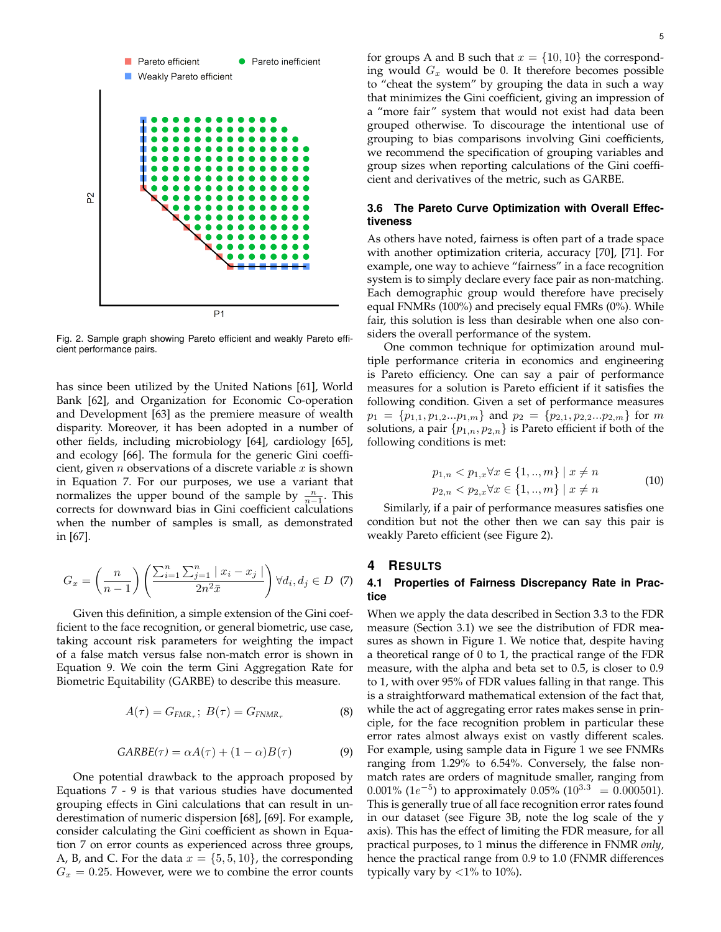

Fig. 2. Sample graph showing Pareto efficient and weakly Pareto efficient performance pairs.

has since been utilized by the United Nations [61], World Bank [62], and Organization for Economic Co-operation and Development [63] as the premiere measure of wealth disparity. Moreover, it has been adopted in a number of other fields, including microbiology [64], cardiology [65], and ecology [66]. The formula for the generic Gini coefficient, given *n* observations of a discrete variable  $x$  is shown in Equation 7. For our purposes, we use a variant that normalizes the upper bound of the sample by  $\frac{n}{n-1}$ . This corrects for downward bias in Gini coefficient calculations when the number of samples is small, as demonstrated in [67].

$$
G_x = \left(\frac{n}{n-1}\right) \left(\frac{\sum_{i=1}^n \sum_{j=1}^n |x_i - x_j|}{2n^2 \bar{x}}\right) \forall d_i, d_j \in D \tag{7}
$$

Given this definition, a simple extension of the Gini coefficient to the face recognition, or general biometric, use case, taking account risk parameters for weighting the impact of a false match versus false non-match error is shown in Equation 9. We coin the term Gini Aggregation Rate for Biometric Equitability (GARBE) to describe this measure.

$$
A(\tau) = G_{FMR_{\tau}}; B(\tau) = G_{FNMR_{\tau}}
$$
\n(8)

$$
GARBE(\tau) = \alpha A(\tau) + (1 - \alpha)B(\tau)
$$
\n(9)

One potential drawback to the approach proposed by Equations 7 - 9 is that various studies have documented grouping effects in Gini calculations that can result in underestimation of numeric dispersion [68], [69]. For example, consider calculating the Gini coefficient as shown in Equation 7 on error counts as experienced across three groups, A, B, and C. For the data  $x = \{5, 5, 10\}$ , the corresponding  $G_x = 0.25$ . However, were we to combine the error counts

for groups A and B such that  $x = \{10, 10\}$  the corresponding would  $G_x$  would be 0. It therefore becomes possible to "cheat the system" by grouping the data in such a way that minimizes the Gini coefficient, giving an impression of a "more fair" system that would not exist had data been grouped otherwise. To discourage the intentional use of grouping to bias comparisons involving Gini coefficients, we recommend the specification of grouping variables and group sizes when reporting calculations of the Gini coefficient and derivatives of the metric, such as GARBE.

# **3.6 The Pareto Curve Optimization with Overall Effectiveness**

As others have noted, fairness is often part of a trade space with another optimization criteria, accuracy [70], [71]. For example, one way to achieve "fairness" in a face recognition system is to simply declare every face pair as non-matching. Each demographic group would therefore have precisely equal FNMRs (100%) and precisely equal FMRs (0%). While fair, this solution is less than desirable when one also considers the overall performance of the system.

One common technique for optimization around multiple performance criteria in economics and engineering is Pareto efficiency. One can say a pair of performance measures for a solution is Pareto efficient if it satisfies the following condition. Given a set of performance measures  $p_1 = \{p_{1,1}, p_{1,2}...p_{1,m}\}\$  and  $p_2 = \{p_{2,1}, p_{2,2}...p_{2,m}\}\$  for  $m$ solutions, a pair  $\{p_{1,n}, p_{2,n}\}$  is Pareto efficient if both of the following conditions is met:

$$
p_{1,n} < p_{1,x} \forall x \in \{1, \dots, m\} \mid x \neq n
$$
\n
$$
p_{2,n} < p_{2,x} \forall x \in \{1, \dots, m\} \mid x \neq n
$$
\n
$$
(10)
$$

Similarly, if a pair of performance measures satisfies one condition but not the other then we can say this pair is weakly Pareto efficient (see Figure 2).

### **4 RESULTS**

## **4.1 Properties of Fairness Discrepancy Rate in Practice**

When we apply the data described in Section 3.3 to the FDR measure (Section 3.1) we see the distribution of FDR measures as shown in Figure 1. We notice that, despite having a theoretical range of 0 to 1, the practical range of the FDR measure, with the alpha and beta set to 0.5, is closer to 0.9 to 1, with over 95% of FDR values falling in that range. This is a straightforward mathematical extension of the fact that, while the act of aggregating error rates makes sense in principle, for the face recognition problem in particular these error rates almost always exist on vastly different scales. For example, using sample data in Figure 1 we see FNMRs ranging from 1.29% to 6.54%. Conversely, the false nonmatch rates are orders of magnitude smaller, ranging from 0.001% (1 $e^{-5}$ ) to approximately 0.05% (10<sup>3.3</sup> = 0.000501). This is generally true of all face recognition error rates found in our dataset (see Figure 3B, note the log scale of the y axis). This has the effect of limiting the FDR measure, for all practical purposes, to 1 minus the difference in FNMR *only*, hence the practical range from 0.9 to 1.0 (FNMR differences typically vary by  $\langle 1\%$  to 10%).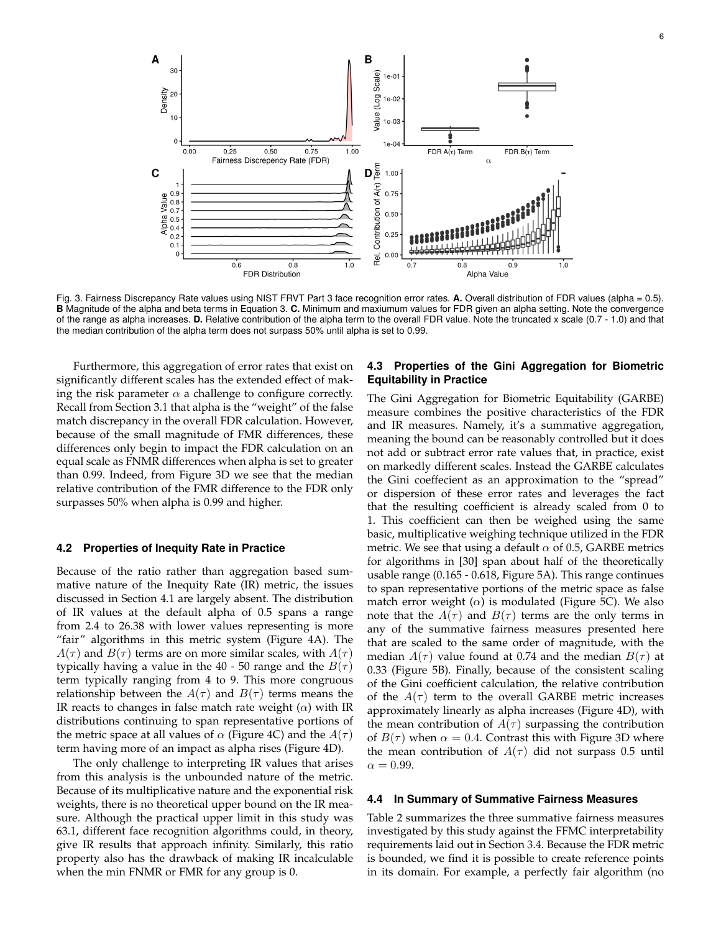

Fig. 3. Fairness Discrepancy Rate values using NIST FRVT Part 3 face recognition error rates. **A.** Overall distribution of FDR values (alpha = 0.5). **B** Magnitude of the alpha and beta terms in Equation 3. **C.** Minimum and maxiumum values for FDR given an alpha setting. Note the convergence of the range as alpha increases. **D.** Relative contribution of the alpha term to the overall FDR value. Note the truncated x scale (0.7 - 1.0) and that the median contribution of the alpha term does not surpass 50% until alpha is set to 0.99.

Furthermore, this aggregation of error rates that exist on significantly different scales has the extended effect of making the risk parameter  $\alpha$  a challenge to configure correctly. Recall from Section 3.1 that alpha is the "weight" of the false match discrepancy in the overall FDR calculation. However, because of the small magnitude of FMR differences, these differences only begin to impact the FDR calculation on an equal scale as FNMR differences when alpha is set to greater than 0.99. Indeed, from Figure 3D we see that the median relative contribution of the FMR difference to the FDR only surpasses 50% when alpha is 0.99 and higher.

### **4.2 Properties of Inequity Rate in Practice**

Because of the ratio rather than aggregation based summative nature of the Inequity Rate (IR) metric, the issues discussed in Section 4.1 are largely absent. The distribution of IR values at the default alpha of 0.5 spans a range from 2.4 to 26.38 with lower values representing is more "fair" algorithms in this metric system (Figure 4A). The  $A(\tau)$  and  $B(\tau)$  terms are on more similar scales, with  $A(\tau)$ typically having a value in the 40 - 50 range and the  $B(\tau)$ term typically ranging from 4 to 9. This more congruous relationship between the  $A(\tau)$  and  $B(\tau)$  terms means the IR reacts to changes in false match rate weight  $(\alpha)$  with IR distributions continuing to span representative portions of the metric space at all values of  $\alpha$  (Figure 4C) and the  $A(\tau)$ term having more of an impact as alpha rises (Figure 4D).

The only challenge to interpreting IR values that arises from this analysis is the unbounded nature of the metric. Because of its multiplicative nature and the exponential risk weights, there is no theoretical upper bound on the IR measure. Although the practical upper limit in this study was 63.1, different face recognition algorithms could, in theory, give IR results that approach infinity. Similarly, this ratio property also has the drawback of making IR incalculable when the min FNMR or FMR for any group is 0.

## **4.3 Properties of the Gini Aggregation for Biometric Equitability in Practice**

The Gini Aggregation for Biometric Equitability (GARBE) measure combines the positive characteristics of the FDR and IR measures. Namely, it's a summative aggregation, meaning the bound can be reasonably controlled but it does not add or subtract error rate values that, in practice, exist on markedly different scales. Instead the GARBE calculates the Gini coeffecient as an approximation to the "spread" or dispersion of these error rates and leverages the fact that the resulting coefficient is already scaled from 0 to 1. This coefficient can then be weighed using the same basic, multiplicative weighing technique utilized in the FDR metric. We see that using a default  $\alpha$  of 0.5, GARBE metrics for algorithms in [30] span about half of the theoretically usable range (0.165 - 0.618, Figure 5A). This range continues to span representative portions of the metric space as false match error weight ( $\alpha$ ) is modulated (Figure 5C). We also note that the  $A(\tau)$  and  $B(\tau)$  terms are the only terms in any of the summative fairness measures presented here that are scaled to the same order of magnitude, with the median  $A(\tau)$  value found at 0.74 and the median  $B(\tau)$  at 0.33 (Figure 5B). Finally, because of the consistent scaling of the Gini coefficient calculation, the relative contribution of the  $A(\tau)$  term to the overall GARBE metric increases approximately linearly as alpha increases (Figure 4D), with the mean contribution of  $A(\tau)$  surpassing the contribution of  $B(\tau)$  when  $\alpha = 0.4$ . Contrast this with Figure 3D where the mean contribution of  $A(\tau)$  did not surpass 0.5 until  $\alpha = 0.99$ .

#### **4.4 In Summary of Summative Fairness Measures**

Table 2 summarizes the three summative fairness measures investigated by this study against the FFMC interpretability requirements laid out in Section 3.4. Because the FDR metric is bounded, we find it is possible to create reference points in its domain. For example, a perfectly fair algorithm (no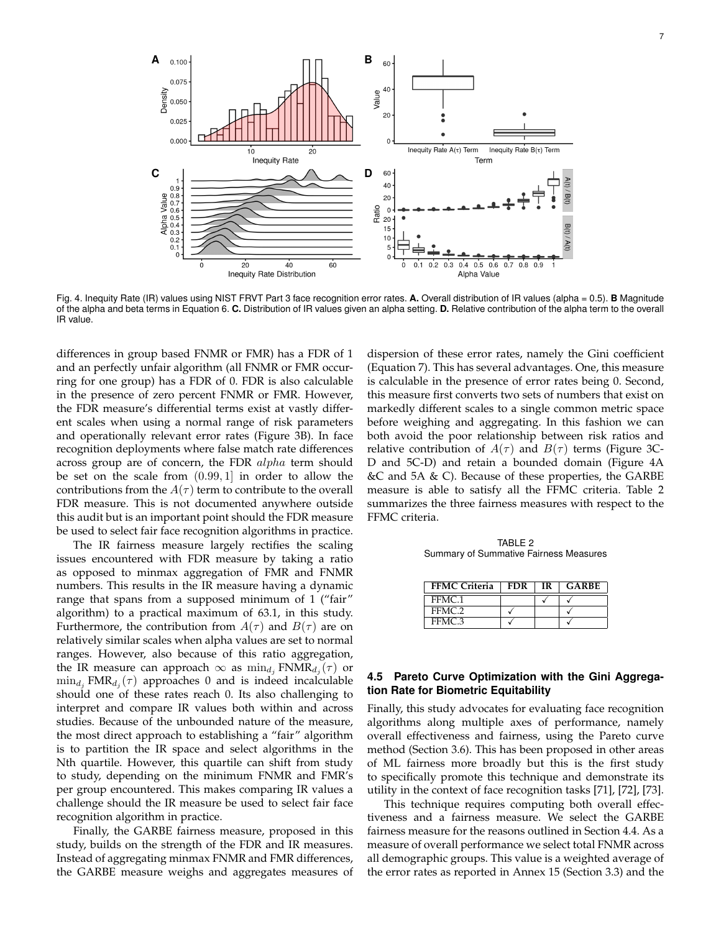

Fig. 4. Inequity Rate (IR) values using NIST FRVT Part 3 face recognition error rates. **A.** Overall distribution of IR values (alpha = 0.5). **B** Magnitude of the alpha and beta terms in Equation 6. **C.** Distribution of IR values given an alpha setting. **D.** Relative contribution of the alpha term to the overall IR value.

differences in group based FNMR or FMR) has a FDR of 1 and an perfectly unfair algorithm (all FNMR or FMR occurring for one group) has a FDR of 0. FDR is also calculable in the presence of zero percent FNMR or FMR. However, the FDR measure's differential terms exist at vastly different scales when using a normal range of risk parameters and operationally relevant error rates (Figure 3B). In face recognition deployments where false match rate differences across group are of concern, the FDR *alpha* term should be set on the scale from  $(0.99, 1)$  in order to allow the contributions from the  $A(\tau)$  term to contribute to the overall FDR measure. This is not documented anywhere outside this audit but is an important point should the FDR measure be used to select fair face recognition algorithms in practice.

The IR fairness measure largely rectifies the scaling issues encountered with FDR measure by taking a ratio as opposed to minmax aggregation of FMR and FNMR numbers. This results in the IR measure having a dynamic range that spans from a supposed minimum of 1 ("fair" algorithm) to a practical maximum of 63.1, in this study. Furthermore, the contribution from  $A(\tau)$  and  $B(\tau)$  are on relatively similar scales when alpha values are set to normal ranges. However, also because of this ratio aggregation, the IR measure can approach  $\infty$  as  $\min_{d_j} \text{FNMR}_{d_j}(\tau)$  or  $\min_{d_j} \text{FMR}_{d_j}(\tau)$  approaches 0 and is indeed incalculable should one of these rates reach 0. Its also challenging to interpret and compare IR values both within and across studies. Because of the unbounded nature of the measure, the most direct approach to establishing a "fair" algorithm is to partition the IR space and select algorithms in the Nth quartile. However, this quartile can shift from study to study, depending on the minimum FNMR and FMR's per group encountered. This makes comparing IR values a challenge should the IR measure be used to select fair face recognition algorithm in practice.

Finally, the GARBE fairness measure, proposed in this study, builds on the strength of the FDR and IR measures. Instead of aggregating minmax FNMR and FMR differences, the GARBE measure weighs and aggregates measures of

dispersion of these error rates, namely the Gini coefficient (Equation 7). This has several advantages. One, this measure is calculable in the presence of error rates being 0. Second, this measure first converts two sets of numbers that exist on markedly different scales to a single common metric space before weighing and aggregating. In this fashion we can both avoid the poor relationship between risk ratios and relative contribution of  $A(\tau)$  and  $B(\tau)$  terms (Figure 3C-D and 5C-D) and retain a bounded domain (Figure 4A &C and 5A & C). Because of these properties, the GARBE measure is able to satisfy all the FFMC criteria. Table 2 summarizes the three fairness measures with respect to the FFMC criteria.

TABLE 2 Summary of Summative Fairness Measures

| <b>FFMC Criteria</b> | <b>FDR</b> | ΙR | <b>GARBE</b> |
|----------------------|------------|----|--------------|
| FFMC 1               |            |    |              |
| FFMC.2               |            |    |              |
| FFMC.3               |            |    |              |

## **4.5 Pareto Curve Optimization with the Gini Aggregation Rate for Biometric Equitability**

Finally, this study advocates for evaluating face recognition algorithms along multiple axes of performance, namely overall effectiveness and fairness, using the Pareto curve method (Section 3.6). This has been proposed in other areas of ML fairness more broadly but this is the first study to specifically promote this technique and demonstrate its utility in the context of face recognition tasks [71], [72], [73].

This technique requires computing both overall effectiveness and a fairness measure. We select the GARBE fairness measure for the reasons outlined in Section 4.4. As a measure of overall performance we select total FNMR across all demographic groups. This value is a weighted average of the error rates as reported in Annex 15 (Section 3.3) and the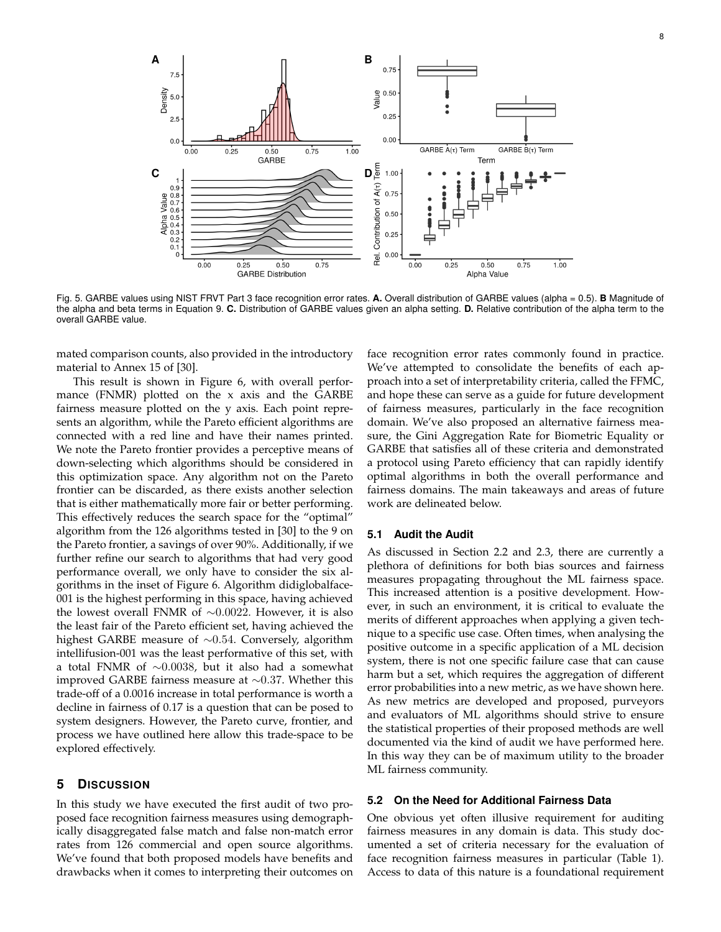

Fig. 5. GARBE values using NIST FRVT Part 3 face recognition error rates. **A.** Overall distribution of GARBE values (alpha = 0.5). **B** Magnitude of the alpha and beta terms in Equation 9. **C.** Distribution of GARBE values given an alpha setting. **D.** Relative contribution of the alpha term to the overall GARBE value.

mated comparison counts, also provided in the introductory material to Annex 15 of [30].

This result is shown in Figure 6, with overall performance (FNMR) plotted on the x axis and the GARBE fairness measure plotted on the y axis. Each point represents an algorithm, while the Pareto efficient algorithms are connected with a red line and have their names printed. We note the Pareto frontier provides a perceptive means of down-selecting which algorithms should be considered in this optimization space. Any algorithm not on the Pareto frontier can be discarded, as there exists another selection that is either mathematically more fair or better performing. This effectively reduces the search space for the "optimal" algorithm from the 126 algorithms tested in [30] to the 9 on the Pareto frontier, a savings of over 90%. Additionally, if we further refine our search to algorithms that had very good performance overall, we only have to consider the six algorithms in the inset of Figure 6. Algorithm didiglobalface-001 is the highest performing in this space, having achieved the lowest overall FNMR of ∼0.0022. However, it is also the least fair of the Pareto efficient set, having achieved the highest GARBE measure of ∼0.54. Conversely, algorithm intellifusion-001 was the least performative of this set, with a total FNMR of ∼0.0038, but it also had a somewhat improved GARBE fairness measure at ∼0.37. Whether this trade-off of a 0.0016 increase in total performance is worth a decline in fairness of 0.17 is a question that can be posed to system designers. However, the Pareto curve, frontier, and process we have outlined here allow this trade-space to be explored effectively.

#### **5 DISCUSSION**

In this study we have executed the first audit of two proposed face recognition fairness measures using demographically disaggregated false match and false non-match error rates from 126 commercial and open source algorithms. We've found that both proposed models have benefits and drawbacks when it comes to interpreting their outcomes on

face recognition error rates commonly found in practice. We've attempted to consolidate the benefits of each approach into a set of interpretability criteria, called the FFMC, and hope these can serve as a guide for future development of fairness measures, particularly in the face recognition domain. We've also proposed an alternative fairness measure, the Gini Aggregation Rate for Biometric Equality or GARBE that satisfies all of these criteria and demonstrated a protocol using Pareto efficiency that can rapidly identify optimal algorithms in both the overall performance and fairness domains. The main takeaways and areas of future work are delineated below.

### **5.1 Audit the Audit**

As discussed in Section 2.2 and 2.3, there are currently a plethora of definitions for both bias sources and fairness measures propagating throughout the ML fairness space. This increased attention is a positive development. However, in such an environment, it is critical to evaluate the merits of different approaches when applying a given technique to a specific use case. Often times, when analysing the positive outcome in a specific application of a ML decision system, there is not one specific failure case that can cause harm but a set, which requires the aggregation of different error probabilities into a new metric, as we have shown here. As new metrics are developed and proposed, purveyors and evaluators of ML algorithms should strive to ensure the statistical properties of their proposed methods are well documented via the kind of audit we have performed here. In this way they can be of maximum utility to the broader ML fairness community.

## **5.2 On the Need for Additional Fairness Data**

One obvious yet often illusive requirement for auditing fairness measures in any domain is data. This study documented a set of criteria necessary for the evaluation of face recognition fairness measures in particular (Table 1). Access to data of this nature is a foundational requirement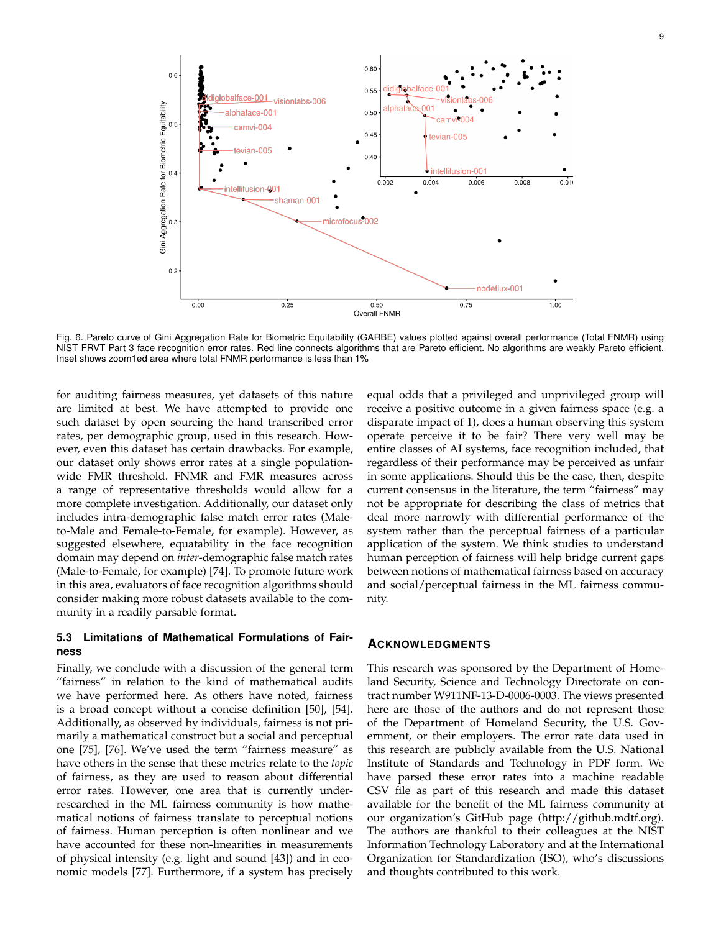

Fig. 6. Pareto curve of Gini Aggregation Rate for Biometric Equitability (GARBE) values plotted against overall performance (Total FNMR) using NIST FRVT Part 3 face recognition error rates. Red line connects algorithms that are Pareto efficient. No algorithms are weakly Pareto efficient. Inset shows zoom1ed area where total FNMR performance is less than 1%

for auditing fairness measures, yet datasets of this nature are limited at best. We have attempted to provide one such dataset by open sourcing the hand transcribed error rates, per demographic group, used in this research. However, even this dataset has certain drawbacks. For example, our dataset only shows error rates at a single populationwide FMR threshold. FNMR and FMR measures across a range of representative thresholds would allow for a more complete investigation. Additionally, our dataset only includes intra-demographic false match error rates (Maleto-Male and Female-to-Female, for example). However, as suggested elsewhere, equatability in the face recognition domain may depend on *inter*-demographic false match rates (Male-to-Female, for example) [74]. To promote future work in this area, evaluators of face recognition algorithms should consider making more robust datasets available to the community in a readily parsable format.

# **5.3 Limitations of Mathematical Formulations of Fairness**

Finally, we conclude with a discussion of the general term "fairness" in relation to the kind of mathematical audits we have performed here. As others have noted, fairness is a broad concept without a concise definition [50], [54]. Additionally, as observed by individuals, fairness is not primarily a mathematical construct but a social and perceptual one [75], [76]. We've used the term "fairness measure" as have others in the sense that these metrics relate to the *topic* of fairness, as they are used to reason about differential error rates. However, one area that is currently underresearched in the ML fairness community is how mathematical notions of fairness translate to perceptual notions of fairness. Human perception is often nonlinear and we have accounted for these non-linearities in measurements of physical intensity (e.g. light and sound [43]) and in economic models [77]. Furthermore, if a system has precisely

equal odds that a privileged and unprivileged group will receive a positive outcome in a given fairness space (e.g. a disparate impact of 1), does a human observing this system operate perceive it to be fair? There very well may be entire classes of AI systems, face recognition included, that regardless of their performance may be perceived as unfair in some applications. Should this be the case, then, despite current consensus in the literature, the term "fairness" may not be appropriate for describing the class of metrics that deal more narrowly with differential performance of the system rather than the perceptual fairness of a particular application of the system. We think studies to understand human perception of fairness will help bridge current gaps between notions of mathematical fairness based on accuracy and social/perceptual fairness in the ML fairness community.

## **ACKNOWLEDGMENTS**

This research was sponsored by the Department of Homeland Security, Science and Technology Directorate on contract number W911NF-13-D-0006-0003. The views presented here are those of the authors and do not represent those of the Department of Homeland Security, the U.S. Government, or their employers. The error rate data used in this research are publicly available from the U.S. National Institute of Standards and Technology in PDF form. We have parsed these error rates into a machine readable CSV file as part of this research and made this dataset available for the benefit of the ML fairness community at our organization's GitHub page (http://github.mdtf.org). The authors are thankful to their colleagues at the NIST Information Technology Laboratory and at the International Organization for Standardization (ISO), who's discussions and thoughts contributed to this work.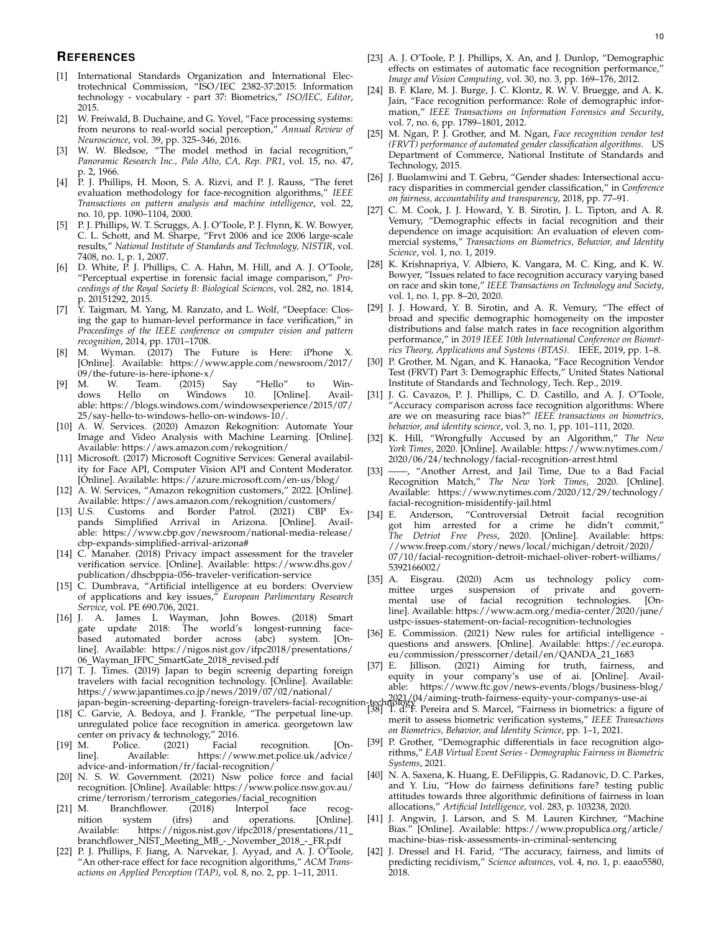# **REFERENCES**

- [1] International Standards Organization and International Electrotechnical Commission, "ISO/IEC 2382-37:2015: Information technology - vocabulary - part 37: Biometrics," *ISO/IEC, Editor*, 2015.
- [2] W. Freiwald, B. Duchaine, and G. Yovel, "Face processing systems: from neurons to real-world social perception," *Annual Review of Neuroscience*, vol. 39, pp. 325–346, 2016.
- [3] W. W. Bledsoe, "The model method in facial recognition," *Panoramic Research Inc., Palo Alto, CA, Rep. PR1*, vol. 15, no. 47, p. 2, 1966.
- [4] P. J. Phillips, H. Moon, S. A. Rizvi, and P. J. Rauss, "The feret evaluation methodology for face-recognition algorithms," *IEEE Transactions on pattern analysis and machine intelligence*, vol. 22, no. 10, pp. 1090–1104, 2000.
- [5] P. J. Phillips, W. T. Scruggs, A. J. O'Toole, P. J. Flynn, K. W. Bowyer, C. L. Schott, and M. Sharpe, "Frvt 2006 and ice 2006 large-scale results," *National Institute of Standards and Technology, NISTIR*, vol. 7408, no. 1, p. 1, 2007.
- [6] D. White, P. J. Phillips, C. A. Hahn, M. Hill, and A. J. O'Toole, "Perceptual expertise in forensic facial image comparison," *Proceedings of the Royal Society B: Biological Sciences*, vol. 282, no. 1814, p. 20151292, 2015.
- [7] Y. Taigman, M. Yang, M. Ranzato, and L. Wolf, "Deepface: Closing the gap to human-level performance in face verification," in *Proceedings of the IEEE conference on computer vision and pattern recognition*, 2014, pp. 1701–1708.
- [8] M. Wyman. (2017) The Future is Here: iPhone X. [Online]. Available: https://www.apple.com/newsroom/2017/ 09/the-future-is-here-iphone-x/
- [9] M. W. Team. (2015) Say "Hello" to Windows Hello on Windows 10. [Online]. Available: https://blogs.windows.com/windowsexperience/2015/07/ 25/say-hello-to-windows-hello-on-windows-10/.
- [10] A. W. Services. (2020) Amazon Rekognition: Automate Your Image and Video Analysis with Machine Learning. [Online]. Available: https://aws.amazon.com/rekognition/
- [11] Microsoft. (2017) Microsoft Cognitive Services: General availability for Face API, Computer Vision API and Content Moderator. [Online]. Available: https://azure.microsoft.com/en-us/blog/
- [12] A. W. Services, "Amazon rekognition customers," 2022. [Online]. Available: https://aws.amazon.com/rekognition/customers/
- [13] U.S. Customs and Border Patrol. (2021) CBP Expands Simplified Arrival in Arizona. [Online]. able: https://www.cbp.gov/newsroom/national-media-release/ cbp-expands-simplified-arrival-arizona#
- [14] C. Manaher. (2018) Privacy impact assessment for the traveler verification service. [Online]. Available: https://www.dhs.gov/ publication/dhscbppia-056-traveler-verification-service
- [15] C. Dumbrava, "Artificial intelligence at eu borders: Overview of applications and key issues," *European Parlimentary Research Service*, vol. PE 690.706, 2021.
- [16] J. A. James L Wayman, John Bowes. (2018) Smart gate update 2018: The world's longest-running faceautomated border across (abc) system. [Online]. Available: https://nigos.nist.gov/ifpc2018/presentations/ 06\_Wayman\_IFPC\_SmartGate\_2018\_revised.pdf
- [17] T. J. Times. (2019) Japan to begin screenig departing foreign travelers with facial recognition technology. [Online]. Available: https://www.japantimes.co.jp/news/2019/07/02/national/ japan-begin-screening-departing-foreign-travelers-facial-recognition-technology
- [18] C. Garvie, A. Bedoya, and J. Frankle, "The perpetual line-up. unregulated police face recognition in america. georgetown law center on privacy & technology," 2016.
- [19] M. Police. (2021) Facial recognition. [Online]. Available: https://www.met.police.uk/advice/ advice-and-information/fr/facial-recognition/
- [20] N. S. W. Government. (2021) Nsw police force and facial recognition. [Online]. Available: https://www.police.nsw.gov.au/ crime/terrorism/terrorism\_categories/facial\_recognition [21] M. Branchflower. (2018) Interpol face
- M. Branchflower. (2018) Interpol face recognition system (ifrs) and operations. [Online]. nition system (ifrs) and operations.<br>Available: https://nigos.nist.gov/ifpc2018/pres https://nigos.nist.gov/ifpc2018/presentations/11\_ branchflower\_NIST\_Meeting\_MB\_-\_November\_2018\_-\_FR.pdf
- [22] P. J. Phillips, F. Jiang, A. Narvekar, J. Ayyad, and A. J. O'Toole, "An other-race effect for face recognition algorithms," *ACM Transactions on Applied Perception (TAP)*, vol. 8, no. 2, pp. 1–11, 2011.
- [23] A. J. O'Toole, P. J. Phillips, X. An, and J. Dunlop, "Demographic effects on estimates of automatic face recognition performance, *Image and Vision Computing*, vol. 30, no. 3, pp. 169–176, 2012.
- [24] B. F. Klare, M. J. Burge, J. C. Klontz, R. W. V. Bruegge, and A. K. Jain, "Face recognition performance: Role of demographic information," *IEEE Transactions on Information Forensics and Security*, vol. 7, no. 6, pp. 1789–1801, 2012.
- [25] M. Ngan, P. J. Grother, and M. Ngan, *Face recognition vendor test (FRVT) performance of automated gender classification algorithms*. US Department of Commerce, National Institute of Standards and Technology, 2015.
- [26] J. Buolamwini and T. Gebru, "Gender shades: Intersectional accuracy disparities in commercial gender classification," in *Conference on fairness, accountability and transparency*, 2018, pp. 77–91.
- [27] C. M. Cook, J. J. Howard, Y. B. Sirotin, J. L. Tipton, and A. R. Vemury, "Demographic effects in facial recognition and their dependence on image acquisition: An evaluation of eleven commercial systems," *Transactions on Biometrics, Behavior, and Identity Science*, vol. 1, no. 1, 2019.
- [28] K. Krishnapriya, V. Albiero, K. Vangara, M. C. King, and K. W. Bowyer, "Issues related to face recognition accuracy varying based on race and skin tone," *IEEE Transactions on Technology and Society*, vol. 1, no. 1, pp. 8–20, 2020.
- [29] J. J. Howard, Y. B. Sirotin, and A. R. Vemury, "The effect of broad and specific demographic homogeneity on the imposter distributions and false match rates in face recognition algorithm performance," in *2019 IEEE 10th International Conference on Biometrics Theory, Applications and Systems (BTAS)*. IEEE, 2019, pp. 1–8.
- [30] P. Grother, M. Ngan, and K. Hanaoka, "Face Recognition Vendor Test (FRVT) Part 3: Demographic Effects," United States National Institute of Standards and Technology, Tech. Rep., 2019.
- [31] J. G. Cavazos, P. J. Phillips, C. D. Castillo, and A. J. O'Toole, "Accuracy comparison across face recognition algorithms: Where are we on measuring race bias?" *IEEE transactions on biometrics, behavior, and identity science*, vol. 3, no. 1, pp. 101–111, 2020.
- [32] K. Hill, "Wrongfully Accused by an Algorithm," *The New York Times*, 2020. [Online]. Available: https://www.nytimes.com/ 2020/06/24/technology/facial-recognition-arrest.html
- [33] ——, "Another Arrest, and Jail Time, Due to a Bad Facial Recognition Match," *The New York Times*, 2020. [Online]. Available: https://www.nytimes.com/2020/12/29/technology/ facial-recognition-misidentify-jail.html
- [34] E. Anderson, "Controversial Detroit facial recognition got him arrested for a crime he didn't commit," *The Detriot Free Press*, 2020. [Online]. Available: https: //www.freep.com/story/news/local/michigan/detroit/2020/ 07/10/facial-recognition-detroit-michael-oliver-robert-williams/ 5392166002/
- [35] A. Eisgrau. (2020) Acm us technology policy committee urges suspension of private and mental use of facial recognition technologies. [Online]. Available: https://www.acm.org/media-center/2020/june/ ustpc-issues-statement-on-facial-recognition-technologies
- [36] E. Commission. (2021) New rules for artificial intelligence questions and answers. [Online]. Available: https://ec.europa. eu/commission/presscorner/detail/en/QANDA\_21\_1683
- [37] E. Jillison. (2021) Aiming for truth, fairness, and equity in your company's use of ai. [Online]. Available: https://www.ftc.gov/news-events/blogs/business-blog/<br>2021/04/aiming-truth-fairness-equity-your-companys-use-ai 2021/04/aiming-truth-fairness-equity-your-companys-use-ai
- [38] T. d. F. Pereira and S. Marcel, "Fairness in biometrics: a figure of merit to assess biometric verification systems," *IEEE Transactions on Biometrics, Behavior, and Identity Science*, pp. 1–1, 2021.
- [39] P. Grother, "Demographic differentials in face recognition algorithms," *EAB Virtual Event Series - Demographic Fairness in Biometric Systems*, 2021.
- [40] N. A. Saxena, K. Huang, E. DeFilippis, G. Radanovic, D. C. Parkes, and Y. Liu, "How do fairness definitions fare? testing public attitudes towards three algorithmic definitions of fairness in loan allocations," *Artificial Intelligence*, vol. 283, p. 103238, 2020.
- [41] J. Angwin, J. Larson, and S. M. Lauren Kirchner, "Machine Bias." [Online]. Available: https://www.propublica.org/article/ machine-bias-risk-assessments-in-criminal-sentencing
- [42] J. Dressel and H. Farid, "The accuracy, fairness, and limits of predicting recidivism," *Science advances*, vol. 4, no. 1, p. eaao5580, 2018.